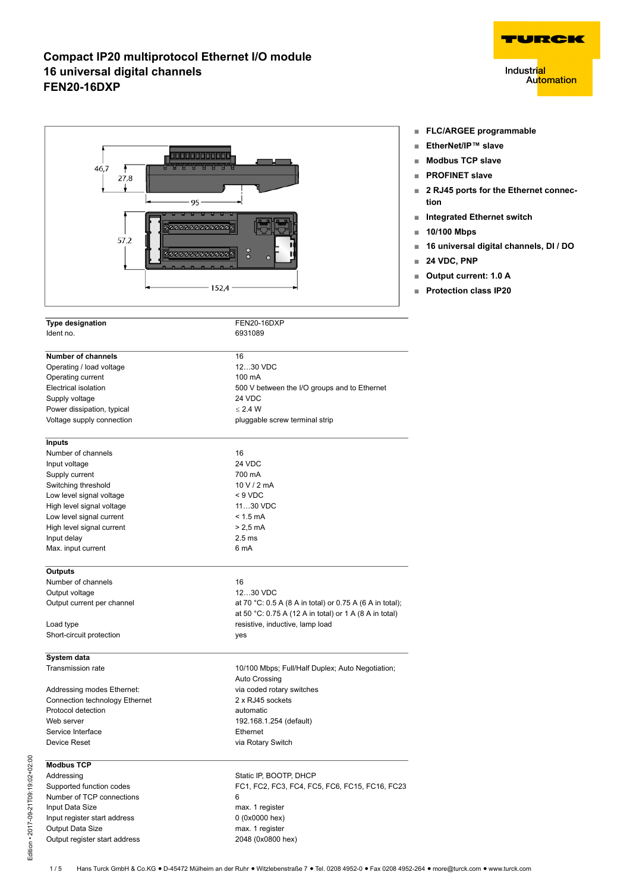

| <b>Type designation</b>        | FEN20-16DXP                                              |
|--------------------------------|----------------------------------------------------------|
| Ident no.                      | 6931089                                                  |
| <b>Number of channels</b>      | 16                                                       |
| Operating / load voltage       | 1230 VDC                                                 |
| Operating current              | 100 mA                                                   |
| Electrical isolation           | 500 V between the I/O groups and to Ethernet             |
| Supply voltage                 | 24 VDC                                                   |
| Power dissipation, typical     | $\leq$ 2.4 W                                             |
| Voltage supply connection      | pluggable screw terminal strip                           |
| <b>Inputs</b>                  |                                                          |
| Number of channels             | 16                                                       |
| Input voltage                  | 24 VDC                                                   |
| Supply current                 | 700 mA                                                   |
| Switching threshold            | 10 V / 2 mA                                              |
| Low level signal voltage       | $< 9$ VDC                                                |
| High level signal voltage      | 1130 VDC                                                 |
| Low level signal current       | $< 1.5$ mA                                               |
| High level signal current      | $> 2.5$ mA                                               |
| Input delay                    | 2.5 <sub>ms</sub>                                        |
| Max. input current             | 6 mA                                                     |
| <b>Outputs</b>                 |                                                          |
| Number of channels             | 16                                                       |
| Output voltage                 | 1230 VDC                                                 |
| Output current per channel     | at 70 °C: 0.5 A (8 A in total) or 0.75 A (6 A in total); |
|                                | at 50 °C: 0.75 A (12 A in total) or 1 A (8 A in total)   |
| Load type                      | resistive, inductive, lamp load                          |
| Short-circuit protection       | yes                                                      |
| System data                    |                                                          |
| Transmission rate              | 10/100 Mbps; Full/Half Duplex; Auto Negotiation;         |
|                                | Auto Crossing                                            |
| Addressing modes Ethernet:     | via coded rotary switches                                |
| Connection technology Ethernet | 2 x RJ45 sockets                                         |
| Protocol detection             | automatic                                                |
| Web server                     | 192.168.1.254 (default)                                  |
| Service Interface              | Ethernet                                                 |
| Device Reset                   | via Rotary Switch                                        |
| <b>Modbus TCP</b>              |                                                          |
| Addressing                     | Static IP, BOOTP, DHCP                                   |
| Supported function codes       | FC1, FC2, FC3, FC4, FC5, FC6, FC15, FC16, FC23           |
| Number of TCP connections      | 6                                                        |
| Input Data Size                | max. 1 register                                          |
| Input register start address   | 0 (0x0000 hex)                                           |

Output Data Size<br>
Output register start address<br>
2048 (0x0800 hex)



- **■ EtherNet/IP™ slave**
- **■ Modbus TCP slave**
- **■ PROFINET slave**
- **2 RJ45 ports for the Ethernet connection**

TURCK

**Automation** 

**Industri<mark>al</mark>** 

- **■ Integrated Ethernet switch**
- **■ 10/100 Mbps**
- **■ 16 universal digital channels, DI / DO**
- **■ 24 VDC, PNP**
- **■ Output current: 1.0 A**
- **■ Protection class IP20**

Output register start address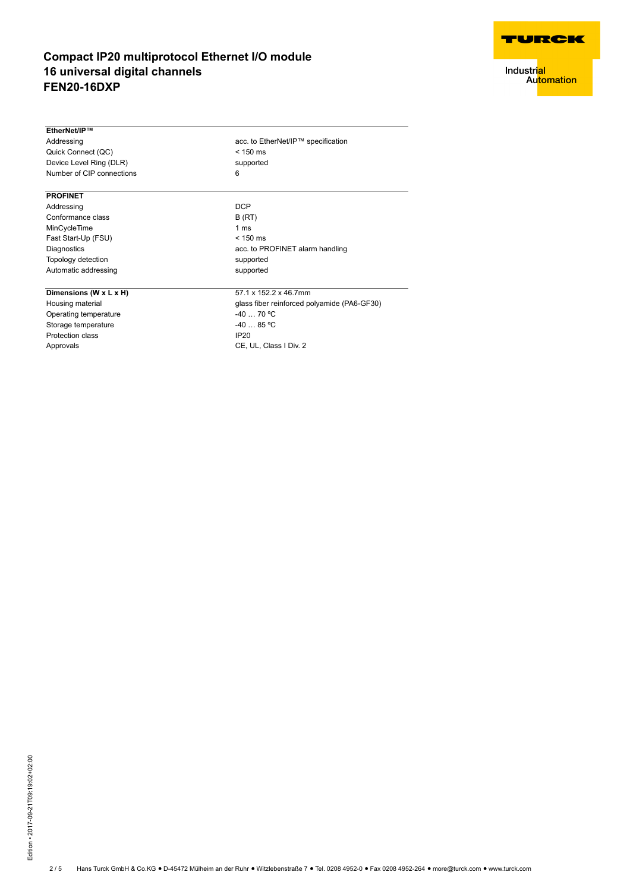

Industri<mark>al</mark><br>Au<mark>tomation</mark>

| EtherNet/IP™              |                                             |  |  |  |  |  |  |
|---------------------------|---------------------------------------------|--|--|--|--|--|--|
| Addressing                | acc. to EtherNet/IP™ specification          |  |  |  |  |  |  |
| Quick Connect (QC)        | $< 150$ ms                                  |  |  |  |  |  |  |
| Device Level Ring (DLR)   | supported                                   |  |  |  |  |  |  |
| Number of CIP connections | 6                                           |  |  |  |  |  |  |
| <b>PROFINET</b>           |                                             |  |  |  |  |  |  |
| Addressing                | <b>DCP</b>                                  |  |  |  |  |  |  |
| Conformance class         | B(RT)                                       |  |  |  |  |  |  |
| MinCycleTime              | 1 <sub>ms</sub>                             |  |  |  |  |  |  |
| Fast Start-Up (FSU)       | $< 150$ ms                                  |  |  |  |  |  |  |
| Diagnostics               | acc. to PROFINET alarm handling             |  |  |  |  |  |  |
| Topology detection        | supported                                   |  |  |  |  |  |  |
| Automatic addressing      | supported                                   |  |  |  |  |  |  |
| Dimensions (W x L x H)    | 57.1 x 152.2 x 46.7mm                       |  |  |  |  |  |  |
| Housing material          | glass fiber reinforced polyamide (PA6-GF30) |  |  |  |  |  |  |
| Operating temperature     | $-4070 °C$                                  |  |  |  |  |  |  |
| Storage temperature       | $-4085$ °C                                  |  |  |  |  |  |  |
| <b>Protection class</b>   | IP <sub>20</sub>                            |  |  |  |  |  |  |
| Approvals                 | CE, UL, Class I Div. 2                      |  |  |  |  |  |  |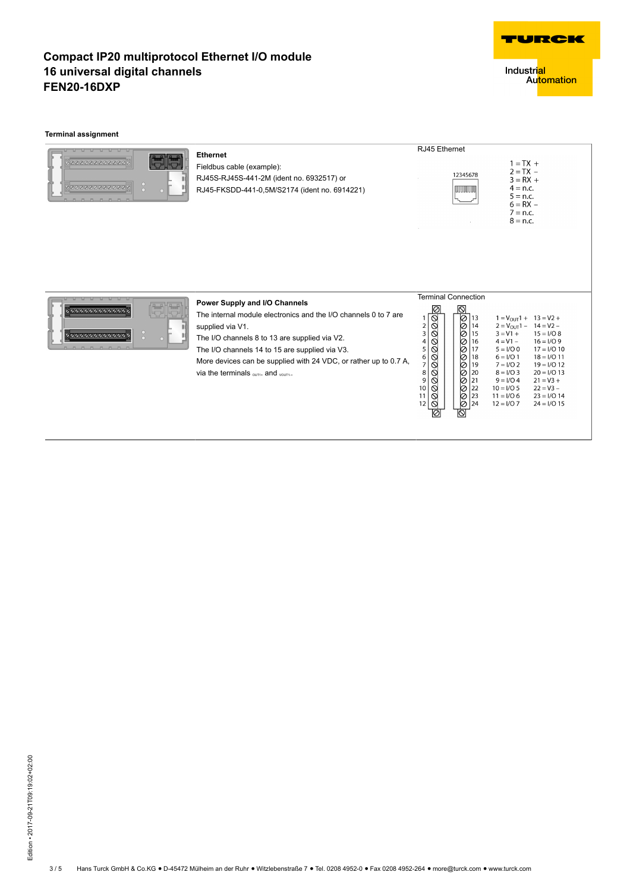

Industri<mark>al</mark><br>Au<mark>tomation</mark>

#### **Terminal assignment**

| 50000000000000<br>00000000000000<br>$\Omega$            | <b>Ethernet</b><br>Fieldbus cable (example):<br>RJ45S-RJ45S-441-2M (ident no. 6932517) or<br>RJ45-FKSDD-441-0,5M/S2174 (ident no. 6914221)                                                                                                                                                                                                               | RJ45 Ethernet<br>$1 = TX +$<br>$2 = TX -$<br>12345678<br>$3 = RX +$<br>$4 = n.c.$<br><b>TITLE LITTLE</b><br>$5 = n.c.$<br>$6 = RX -$<br>$7 = n.c.$<br>$8 = n.c.$                                                                                                                                                                                                                                                                                                                                                                                                                                                                                                                                            |
|---------------------------------------------------------|----------------------------------------------------------------------------------------------------------------------------------------------------------------------------------------------------------------------------------------------------------------------------------------------------------------------------------------------------------|-------------------------------------------------------------------------------------------------------------------------------------------------------------------------------------------------------------------------------------------------------------------------------------------------------------------------------------------------------------------------------------------------------------------------------------------------------------------------------------------------------------------------------------------------------------------------------------------------------------------------------------------------------------------------------------------------------------|
| 200000000000000<br>$\frac{0}{0}$<br>00000000000000<br>. | Power Supply and I/O Channels<br>The internal module electronics and the I/O channels 0 to 7 are<br>supplied via V1.<br>The I/O channels 8 to 13 are supplied via V2.<br>The I/O channels 14 to 15 are supplied via V3.<br>More devices can be supplied with 24 VDC, or rather up to 0.7 A,<br>via the terminals $_{\text{QUT}+}$ and $_{\text{QUT}+}$ . | <b>Terminal Connection</b><br> ⊘<br>ାଡା<br>ାତ<br> ⊘<br>$1 = V_{OUT}1 + 13 = V2 +$<br>113<br>000<br>Ō<br>$\frac{2}{3}$<br>14<br>$2 = V_{\text{OUT}}1 - 14 = V2 -$<br>Ø<br>15<br>$3 = V1 +$<br>$15 = I/O8$<br>0<br>4<br>16<br>$4 = V1 -$<br>$16 = 1/0.9$<br>00000<br>ø<br>5<br>17<br>$5 = I/O$ 0<br>$17 = I/O 10$<br>Ø<br>18<br>6<br>$6 = 1/01$<br>$18 = 1/011$<br>0<br>7 <sup>1</sup><br>19<br>$7 = 1/02$<br>$19 = 1/012$<br>Ō<br>8<br>l 20<br>$20 = 1/013$<br>$8 = 1/03$<br>Ō<br>9<br>21<br>$9 = 1/0.4$<br>$21 = V3 +$<br>$\circ$<br>Ŏ<br>22<br>10 <sup>10</sup><br>$22 = V3 -$<br>$10 = 1/05$<br>Ŏ<br>ାତ<br>23<br>$11 = 1/06$<br>$23 = 1/0.14$<br>11<br>ାତ<br>24<br>12<br>$24 = 1/015$<br>$12 = 1/07$<br>ଷ |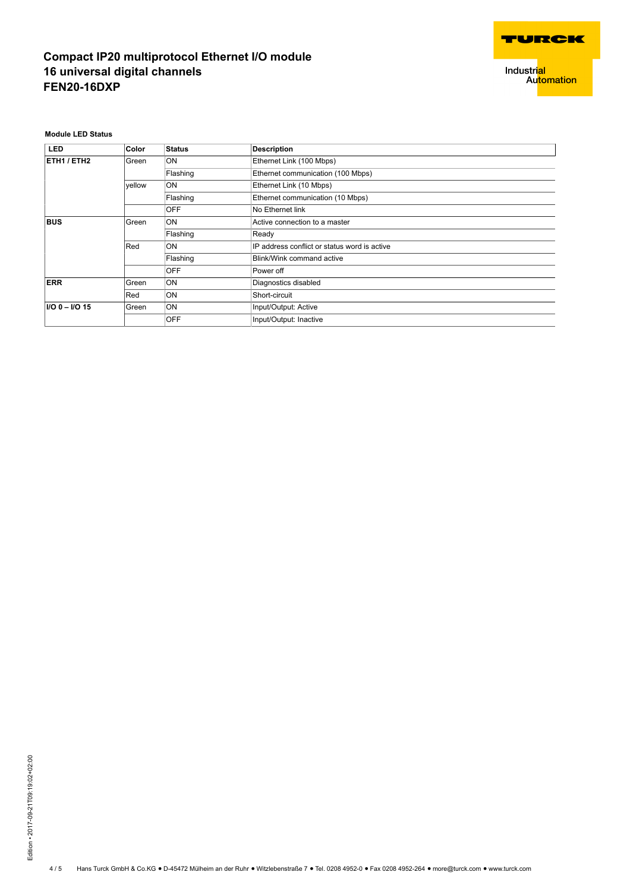

Industri<mark>al</mark><br>Au<mark>tomation</mark>

**Module LED Status**

| <b>LED</b>         | <b>Color</b> | <b>Status</b> | <b>Description</b>                           |
|--------------------|--------------|---------------|----------------------------------------------|
| ETH1 / ETH2        | Green        | ON            | Ethernet Link (100 Mbps)                     |
|                    |              | Flashing      | Ethernet communication (100 Mbps)            |
|                    | vellow       | ON            | Ethernet Link (10 Mbps)                      |
|                    |              | Flashing      | Ethernet communication (10 Mbps)             |
|                    |              | <b>OFF</b>    | No Ethernet link                             |
| <b>BUS</b>         | Green        | ON            | Active connection to a master                |
|                    |              | Flashing      | Ready                                        |
|                    | Red          | ON            | IP address conflict or status word is active |
|                    |              | Flashing      | Blink/Wink command active                    |
|                    |              | <b>OFF</b>    | Power off                                    |
| <b>ERR</b>         | Green        | ON            | Diagnostics disabled                         |
|                    | Red          | ON            | Short-circuit                                |
| $I/O$ 0 - $I/O$ 15 | Green        | ON            | Input/Output: Active                         |
|                    |              | <b>OFF</b>    | Input/Output: Inactive                       |